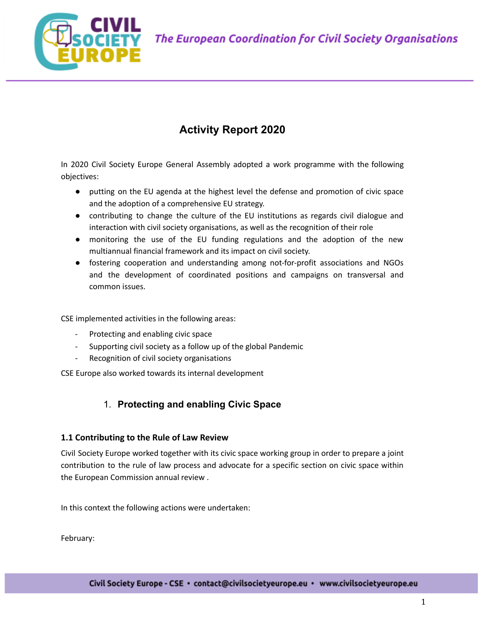

# **Activity Report 2020**

In 2020 Civil Society Europe General Assembly adopted a work programme with the following objectives:

- putting on the EU agenda at the highest level the defense and promotion of civic space and the adoption of a comprehensive EU strategy.
- contributing to change the culture of the EU institutions as regards civil dialogue and interaction with civil society organisations, as well as the recognition of their role
- monitoring the use of the EU funding regulations and the adoption of the new multiannual financial framework and its impact on civil society.
- fostering cooperation and understanding among not-for-profit associations and NGOs and the development of coordinated positions and campaigns on transversal and common issues.

CSE implemented activities in the following areas:

- Protecting and enabling civic space
- Supporting civil society as a follow up of the global Pandemic
- Recognition of civil society organisations

CSE Europe also worked towards its internal development

# 1. **Protecting and enabling Civic Space**

# **1.1 Contributing to the Rule of Law Review**

Civil Society Europe worked together with its civic space working group in order to prepare a joint contribution to the rule of law process and advocate for a specific section on civic space within the European Commission annual review .

In this context the following actions were undertaken:

February: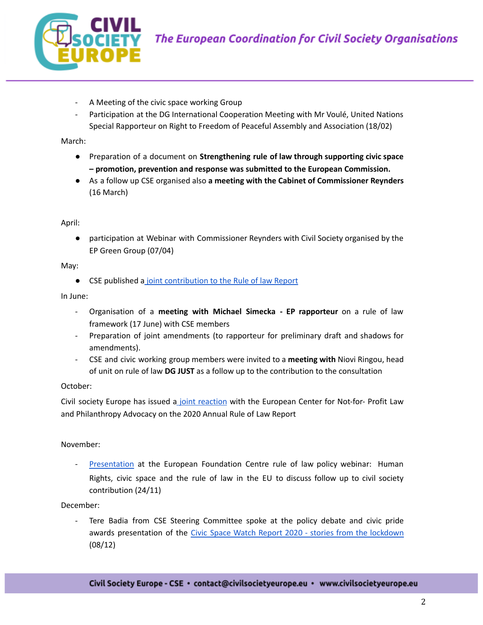

- A Meeting of the civic space working Group
- Participation at the DG International Cooperation Meeting with Mr Voulé, United Nations Special Rapporteur on Right to Freedom of Peaceful Assembly and Association (18/02)

March:

- Preparation of a document on **Strengthening rule of law through supporting civic space – promotion, prevention and response was submitted to the European Commission.**
- As a follow up CSE organised also **a meeting with the Cabinet of Commissioner Reynders** (16 March)

April:

● participation at Webinar with Commissioner Reynders with Civil Society organised by the EP Green Group (07/04)

May:

● CSE published a joint [contribution](https://civilsocietyeurope.eu/wp-content/uploads/2020/05/CSE-Response-to-EC-Annual-Rule-of-Law-Stakeholders-Consultation.pdf) to the Rule of law Report

In June:

- Organisation of a **meeting with Michael Simecka - EP rapporteur** on a rule of law framework (17 June) with CSE members
- Preparation of joint amendments (to rapporteur for preliminary draft and shadows for amendments).
- CSE and civic working group members were invited to a **meeting with** Niovi Ringou, head of unit on rule of law **DG JUST** as a follow up to the contribution to the consultation

#### October:

Civil society Europe has issued a joint [reaction](https://civilsocietyeurope.eu/wp-content/uploads/2020/10/Civil-Society-Joint-reaction-2020-Rule-of-Law-report.pdf) with the European Center for Not-for- Profit Law and Philanthropy Advocacy on the 2020 Annual Rule of Law Report

#### November:

[Presentation](https://vimeo.com/483562112) at the European Foundation Centre rule of law policy webinar: Human Rights, civic space and the rule of law in the EU to discuss follow up to civil society contribution (24/11)

#### December:

Tere Badia from CSE Steering Committee spoke at the policy debate and civic pride awards presentation of the Civic Space Watch Report 2020 - stories from the [lockdown](https://civic-forum.eu/publications/activizenship/stories-from-the-lockdown) (08/12)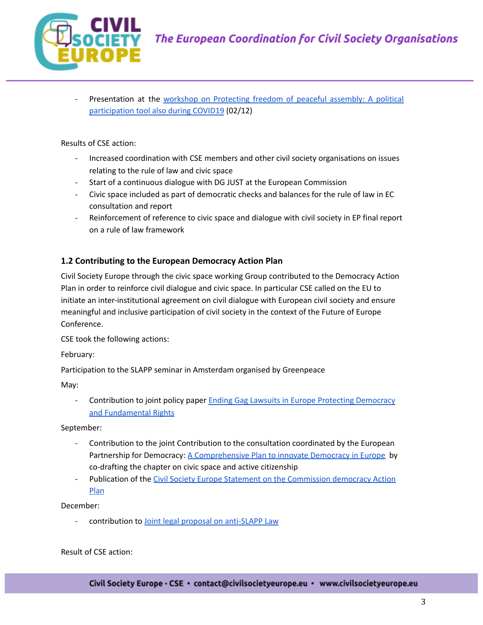

Presentation at the workshop on [Protecting](https://novact.org/2020/11/agenda-protegint-la-llibertat-de-reunio-pacifica-una-eina-de-participacio-politica-tambe-durant-covid19/?lang=en) freedom of peaceful assembly: A political [participation](https://novact.org/2020/11/agenda-protegint-la-llibertat-de-reunio-pacifica-una-eina-de-participacio-politica-tambe-durant-covid19/?lang=en) tool also during COVID19 (02/12)

### Results of CSE action:

- Increased coordination with CSE members and other civil society organisations on issues relating to the rule of law and civic space
- Start of a continuous dialogue with DG JUST at the European Commission
- Civic space included as part of democratic checks and balances for the rule of law in EC consultation and report
- Reinforcement of reference to civic space and dialogue with civil society in EP final report on a rule of law framework

# **1.2 Contributing to the European Democracy Action Plan**

Civil Society Europe through the civic space working Group contributed to the Democracy Action Plan in order to reinforce civil dialogue and civic space. In particular CSE called on the EU to initiate an inter-institutional agreement on civil dialogue with European civil society and ensure meaningful and inclusive participation of civil society in the context of the Future of Europe Conference.

CSE took the following actions:

February:

Participation to the SLAPP seminar in Amsterdam organised by Greenpeace

May:

- Contribution to joint policy paper Ending Gag Lawsuits in Europe Protecting [Democracy](https://civilsocietyeurope.eu/wp-content/uploads/2020/06/Ending-SLAPPs-NGO-Policy-Paper-119-FINAL.pdf) and [Fundamental](https://civilsocietyeurope.eu/wp-content/uploads/2020/06/Ending-SLAPPs-NGO-Policy-Paper-119-FINAL.pdf) Rights

September:

- Contribution to the joint Contribution to the consultation coordinated by the European Partnership for Democracy: A [Comprehensive](https://epd.eu/wp-content/uploads/2020/09/a-civil-society-vision-for-the-european-democracy-action-plan-input-paper.pdf) Plan to innovate Democracy in Europe by co-drafting the chapter on civic space and active citizenship
- Publication of the Civil Society Europe Statement on the [Commission](https://civilsocietyeurope.eu/wp-content/uploads/2020/09/Civil-Society-Europe-Statement-on-the-European-democracy-Action-Plan-2.pdf) democracy Action [Plan](https://civilsocietyeurope.eu/wp-content/uploads/2020/09/Civil-Society-Europe-Statement-on-the-European-democracy-Action-Plan-2.pdf)

December:

contribution to Joint legal proposal on [anti-SLAPP](https://civilsocietyeurope.eu/protecting-public-watchdogs-across-the-eu-a-proposal-for-an-eu-anti-slapp-law/) Law

Result of CSE action: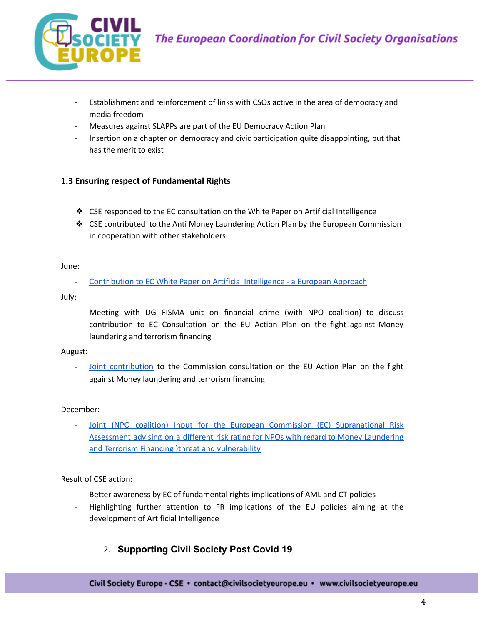

- Establishment and reinforcement of links with CSOs active in the area of democracy and media freedom
- Measures against SLAPPs are part of the EU Democracy Action Plan
- Insertion on a chapter on democracy and civic participation quite disappointing, but that has the merit to exist

# **1.3 Ensuring respect of Fundamental Rights**

- ❖ CSE responded to the EC consultation on the White Paper on Artificial Intelligence
- ❖ CSE contributed to the Anti Money Laundering Action Plan by the European Commission in cooperation with other stakeholders

June:

- [Contribution](https://civilsocietyeurope.eu/wp-content/uploads/2020/09/Contribution-to-EC-consultation-on-Artificial-Intellligence.pdf) to EC White Paper on Artificial Intelligence - a European Approach

July:

Meeting with DG FISMA unit on financial crime (with NPO coalition) to discuss contribution to EC Consultation on the EU Action Plan on the fight against Money laundering and terrorism financing

August:

Joint [contribution](https://civilsocietyeurope.eu/fundamental-rights-must-underpin-the-eu-action-plan-to-fight-money-laundering-and-terrorism-financing/) to the Commission consultation on the EU Action Plan on the fight against Money laundering and terrorism financing

#### December:

Joint (NPO coalition) Input for the European Commission (EC) [Supranational](https://civilsocietyeurope.eu/wp-content/uploads/2021/03/2021_SNRA_NPOs_Coalition_DECEMBER_Comments_FINAL.pdf) Risk [Assessment](https://civilsocietyeurope.eu/wp-content/uploads/2021/03/2021_SNRA_NPOs_Coalition_DECEMBER_Comments_FINAL.pdf) advising on a different risk rating for NPOs with regard to Money Laundering and Terrorism Financing )threat and [vulnerability](https://civilsocietyeurope.eu/wp-content/uploads/2021/03/2021_SNRA_NPOs_Coalition_DECEMBER_Comments_FINAL.pdf)

Result of CSE action:

- Better awareness by EC of fundamental rights implications of AML and CT policies
- Highlighting further attention to FR implications of the EU policies aiming at the development of Artificial Intelligence
	- 2. **Supporting Civil Society Post Covid 19**

Civil Society Europe - CSE · contact@civilsocietyeurope.eu · www.civilsocietyeurope.eu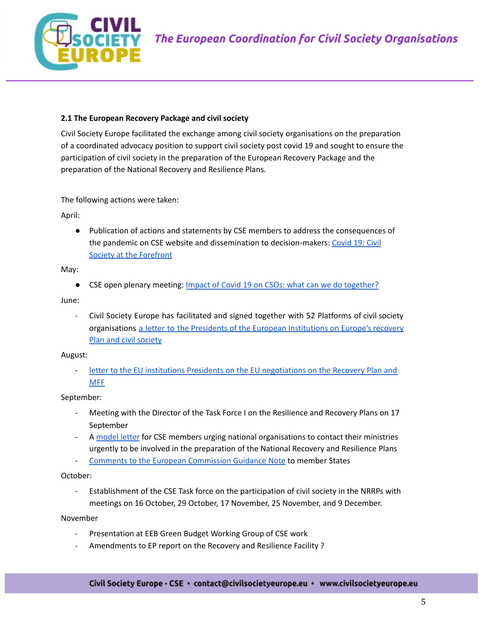

### **2.1 The European Recovery Package and civil society**

Civil Society Europe facilitated the exchange among civil society organisations on the preparation of a coordinated advocacy position to support civil society post covid 19 and sought to ensure the participation of civil society in the preparation of the European Recovery Package and the preparation of the National Recovery and Resilience Plans.

The following actions were taken:

April:

● Publication of actions and statements by CSE members to address the consequences of the pandemic on CSE website and dissemination to decision-makers: [Covid](https://civilsocietyeurope.eu/covid-19-civil-society-at-the-forefront/) 19: Civil Society at the [Forefront](https://civilsocietyeurope.eu/covid-19-civil-society-at-the-forefront/)

May:

● CSE open plenary meeting: Impact of Covid 19 on CSOs: what can we do [together?](https://docs.google.com/document/d/1FVMWYXy7RuZX2GrKn5T6nUUPG3kam-BCtsmbBTH6-U0/edit?usp=sharing)

June:

- Civil Society Europe has facilitated and signed together with 52 Platforms of civil society organisations a letter to the Presidents of the European [Institutions](https://civilsocietyeurope.eu/wp-content/uploads/2020/06/Europes-recovery-after-the-pandemic-Civil-Society.pdf) on Europe's recovery Plan and civil [society](https://civilsocietyeurope.eu/wp-content/uploads/2020/06/Europes-recovery-after-the-pandemic-Civil-Society.pdf)

### August:

letter to the EU institutions Presidents on the EU [negotiations](https://civilsocietyeurope.eu/wp-content/uploads/2020/08/Letter-on-EU-institutions-negotiations-on-the-next-MFF-and-recovery-plan-1.pdf) on the Recovery Plan and [MFF](https://civilsocietyeurope.eu/wp-content/uploads/2020/08/Letter-on-EU-institutions-negotiations-on-the-next-MFF-and-recovery-plan-1.pdf)

September:

- Meeting with the Director of the Task Force I on the Resilience and Recovery Plans on 17 September
- A [model](https://docs.google.com/document/d/1T267tr8mxfUCMHC5AtG2k298Lxk3XSj3jkecgU2g6Kg/edit) letter for CSE members urging national organisations to contact their ministries urgently to be involved in the preparation of the National Recovery and Resilience Plans
- Comments to the European [Commission](https://docs.google.com/document/d/167OIvlpANYylKyxoq4ZiJMpHu7BOc9WV8xgQR7Pd3B4/edit) Guidance Note to member States

October:

Establishment of the CSE Task force on the participation of civil society in the NRRPs with meetings on 16 October, 29 October, 17 November, 25 November, and 9 December.

November

- Presentation at EEB Green Budget Working Group of CSE work
- Amendments to EP report on the Recovery and Resilience Facility ?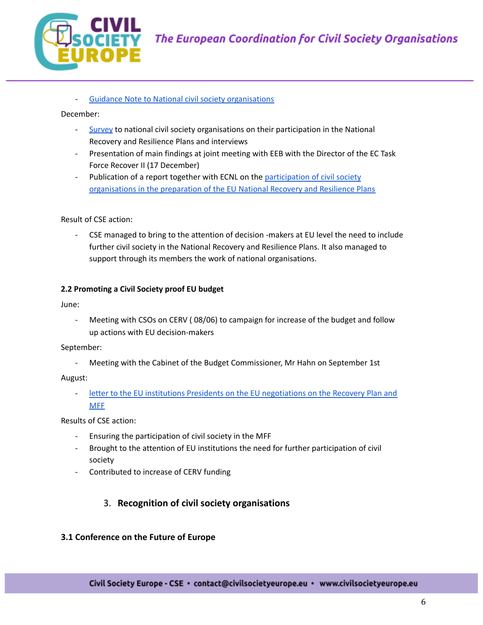

Guidance Note to National civil society [organisations](https://civilsocietyeurope.eu/wp-content/uploads/2021/01/Guidance-Note-for-CSOs-to-engage-with-the-National-Recovery-and-Resilience-Plans_updated-1.pdf)

December:

- [Survey](https://civilsocietyeurope.eu/are-you-involved-in-the-national-recovery-and-resilience-plans/) to national civil society organisations on their participation in the National Recovery and Resilience Plans and interviews
- Presentation of main findings at joint meeting with EEB with the Director of the EC Task Force Recover II (17 December)
- Publication of a report together with ECNL on the [participation](https://civilsocietyeurope.eu/wp-content/uploads/2021/01/CSE-ECNL-Participation-of-CSOs-in-the-preparation-of-the-EU-NRRPs_spread.pdf) of civil society [organisations](https://civilsocietyeurope.eu/wp-content/uploads/2021/01/CSE-ECNL-Participation-of-CSOs-in-the-preparation-of-the-EU-NRRPs_spread.pdf) in the preparation of the EU National Recovery and Resilience Plans

Result of CSE action:

CSE managed to bring to the attention of decision -makers at EU level the need to include further civil society in the National Recovery and Resilience Plans. It also managed to support through its members the work of national organisations.

### **2.2 Promoting a Civil Society proof EU budget**

June:

Meeting with CSOs on CERV (08/06) to campaign for increase of the budget and follow up actions with EU decision-makers

September:

- Meeting with the Cabinet of the Budget Commissioner, Mr Hahn on September 1st

August:

- letter to the EU institutions Presidents on the EU [negotiations](https://civilsocietyeurope.eu/wp-content/uploads/2020/08/Letter-on-EU-institutions-negotiations-on-the-next-MFF-and-recovery-plan-1.pdf) on the Recovery Plan and **[MFF](https://civilsocietyeurope.eu/wp-content/uploads/2020/08/Letter-on-EU-institutions-negotiations-on-the-next-MFF-and-recovery-plan-1.pdf)** 

Results of CSE action:

- Ensuring the participation of civil society in the MFF
- Brought to the attention of EU institutions the need for further participation of civil society
- Contributed to increase of CERV funding

# 3. **Recognition of civil society organisations**

# **3.1 Conference on the Future of Europe**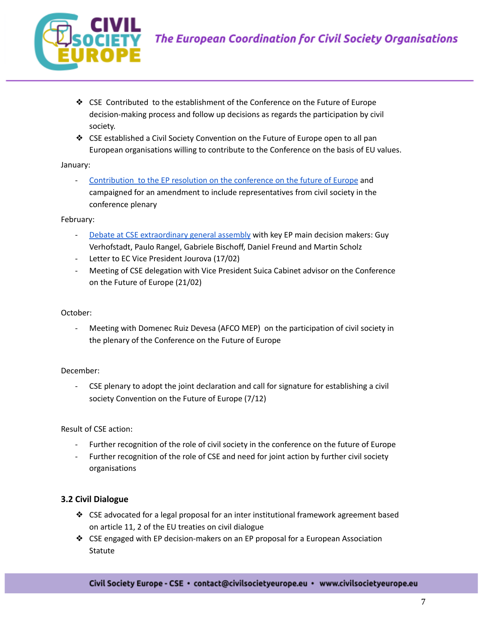

- ❖ CSE Contributed to the establishment of the Conference on the Future of Europe decision-making process and follow up decisions as regards the participation by civil society.
- ❖ CSE established a Civil Society Convention on the Future of Europe open to all pan European organisations willing to contribute to the Conference on the basis of EU values.

### January:

- [Contribution](https://civilsocietyeurope.eu/the-conference-on-the-future-of-europe-needs-civil-society-organisations-as-key-partners/) to the EP resolution on the conference on the future of Europe and campaigned for an amendment to include representatives from civil society in the conference plenary

### February:

- Debate at CSE [extraordinary](https://civilsocietyeurope.eu/the-european-parliament-needs-civil-society-to-engage-citizens-in-shaping-europes-future/) general assembly with key EP main decision makers: Guy Verhofstadt, Paulo Rangel, Gabriele Bischoff, Daniel Freund and Martin Scholz
- Letter to EC Vice President Jourova (17/02)
- Meeting of CSE delegation with Vice President Suica Cabinet advisor on the Conference on the Future of Europe (21/02)

### October:

Meeting with Domenec Ruiz Devesa (AFCO MEP) on the participation of civil society in the plenary of the Conference on the Future of Europe

# December:

CSE plenary to adopt the joint declaration and call for signature for establishing a civil society Convention on the Future of Europe (7/12)

Result of CSE action:

- Further recognition of the role of civil society in the conference on the future of Europe
- Further recognition of the role of CSE and need for joint action by further civil society organisations

# **3.2 Civil Dialogue**

- ❖ CSE advocated for a legal proposal for an inter institutional framework agreement based on article 11, 2 of the EU treaties on civil dialogue
- ❖ CSE engaged with EP decision-makers on an EP proposal for a European Association Statute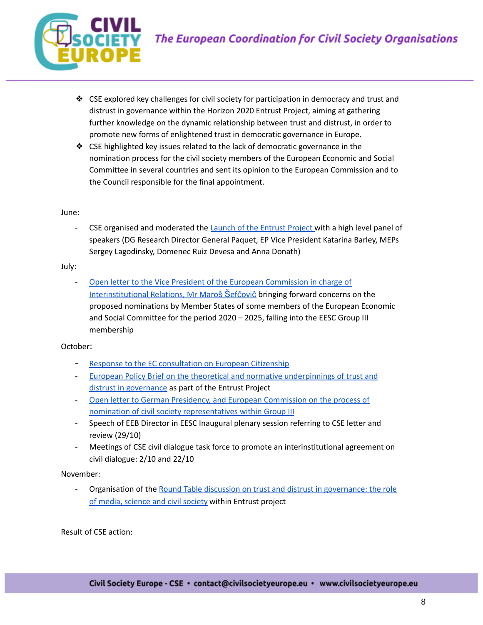

- ❖ CSE explored key challenges for civil society for participation in democracy and trust and distrust in governance within the Horizon 2020 Entrust Project, aiming at gathering further knowledge on the dynamic relationship between trust and distrust, in order to promote new forms of enlightened trust in democratic governance in Europe.
- ❖ CSE highlighted key issues related to the lack of democratic governance in the nomination process for the civil society members of the European Economic and Social Committee in several countries and sent its opinion to the European Commission and to the Council responsible for the final appointment.

#### June:

CSE organised and moderated the Launch of the [Entrust](https://civilsocietyeurope.eu/trust-and-distrust-in-governance-what-is-at-stake/) Project with a high level panel of speakers (DG Research Director General Paquet, EP Vice President Katarina Barley, MEPs Sergey Lagodinsky, Domenec Ruiz Devesa and Anna Donath)

#### July:

Open letter to the Vice President of the European [Commission](https://civilsocietyeurope.eu/open-letter-on-breaches-in-transparency-and-accountability-of-member-states-nominations-to-the-eesc-2020-2025/) in charge of [Interinstitutional](https://civilsocietyeurope.eu/open-letter-on-breaches-in-transparency-and-accountability-of-member-states-nominations-to-the-eesc-2020-2025/) Relations, Mr Maroš Šefčovič bringing forward concerns on the proposed nominations by Member States of some members of the European Economic and Social Committee for the period 2020 – 2025, falling into the EESC Group III membership

### October:

- Response to the EC [consultation](https://civilsocietyeurope.eu/eu-citizenship-rights-include-democratic-participation/) on European Citizenship
- European Policy Brief on the theoretical and normative [underpinnings](https://civilsocietyeurope.eu/wp-content/uploads/2020/10/EnTrust-Policy-Brief-I.pdf) of trust and distrust in [governance](https://civilsocietyeurope.eu/wp-content/uploads/2020/10/EnTrust-Policy-Brief-I.pdf) as part of the Entrust Project
- Open letter to German Presidency, and European [Commission](https://civilsocietyeurope.eu/open-letter-on-the-nominations-of-the-eesc-representatives-for-the-period-2020-2025/) on the process of nomination of civil society [representatives](https://civilsocietyeurope.eu/open-letter-on-the-nominations-of-the-eesc-representatives-for-the-period-2020-2025/) within Group III
- Speech of EEB Director in EESC Inaugural plenary session referring to CSE letter and review (29/10)
- Meetings of CSE civil dialogue task force to promote an interinstitutional agreement on civil dialogue: 2/10 and 22/10

#### November:

- Organisation of the Round Table discussion on trust and distrust in [governance:](https://entrust-project.eu/roundtable-media-science-civil-society/) the role of media, [science](https://entrust-project.eu/roundtable-media-science-civil-society/) and civil society within Entrust project

Result of CSE action: